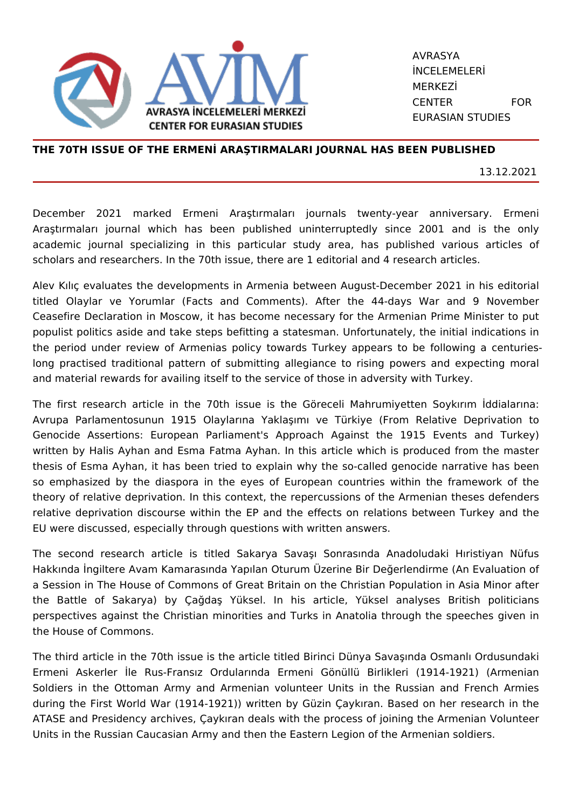

AVRASYA İNCELEMELERİ MERKEZİ CENTER FOR EURASIAN STUDIES

## **THE 70TH ISSUE OF THE ERMENİ ARAŞTIRMALARI JOURNAL HAS BEEN PUBLISHED**

13.12.2021

December 2021 marked Ermeni Araştırmaları journals twenty-year anniversary. Ermeni Araştırmaları journal which has been published uninterruptedly since 2001 and is the only academic journal specializing in this particular study area, has published various articles of scholars and researchers. In the 70th issue, there are 1 editorial and 4 research articles.

Alev Kılıç evaluates the developments in Armenia between August-December 2021 in his editorial titled Olaylar ve Yorumlar (Facts and Comments). After the 44-days War and 9 November Ceasefire Declaration in Moscow, it has become necessary for the Armenian Prime Minister to put populist politics aside and take steps befitting a statesman. Unfortunately, the initial indications in the period under review of Armenias policy towards Turkey appears to be following a centurieslong practised traditional pattern of submitting allegiance to rising powers and expecting moral and material rewards for availing itself to the service of those in adversity with Turkey.

The first research article in the 70th issue is the Göreceli Mahrumiyetten Soykırım İddialarına: Avrupa Parlamentosunun 1915 Olaylarına Yaklaşımı ve Türkiye (From Relative Deprivation to Genocide Assertions: European Parliament's Approach Against the 1915 Events and Turkey) written by Halis Ayhan and Esma Fatma Ayhan. In this article which is produced from the master thesis of Esma Ayhan, it has been tried to explain why the so-called genocide narrative has been so emphasized by the diaspora in the eyes of European countries within the framework of the theory of relative deprivation. In this context, the repercussions of the Armenian theses defenders relative deprivation discourse within the EP and the effects on relations between Turkey and the EU were discussed, especially through questions with written answers.

The second research article is titled Sakarya Savaşı Sonrasında Anadoludaki Hıristiyan Nüfus Hakkında İngiltere Avam Kamarasında Yapılan Oturum Üzerine Bir Değerlendirme (An Evaluation of a Session in The House of Commons of Great Britain on the Christian Population in Asia Minor after the Battle of Sakarya) by Çağdaş Yüksel. In his article, Yüksel analyses British politicians perspectives against the Christian minorities and Turks in Anatolia through the speeches given in the House of Commons.

The third article in the 70th issue is the article titled Birinci Dünya Savaşında Osmanlı Ordusundaki Ermeni Askerler İle Rus-Fransız Ordularında Ermeni Gönüllü Birlikleri (1914-1921) (Armenian Soldiers in the Ottoman Army and Armenian volunteer Units in the Russian and French Armies during the First World War (1914-1921)) written by Güzin Çaykıran. Based on her research in the ATASE and Presidency archives, Çaykıran deals with the process of joining the Armenian Volunteer Units in the Russian Caucasian Army and then the Eastern Legion of the Armenian soldiers.